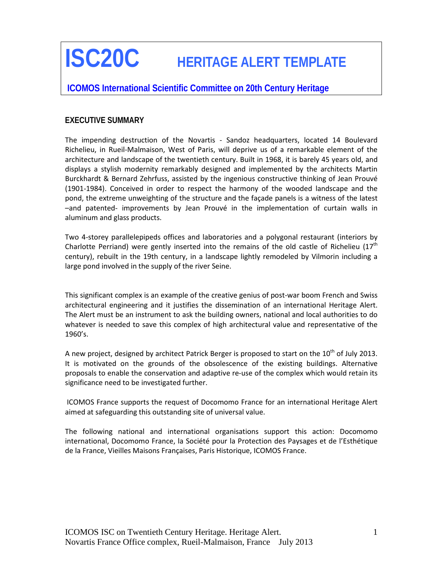# **ISC20C HERITAGE ALERT TEMPLATE**

# **ICOMOS International Scientific Committee on 20th Century Heritage**

#### **EXECUTIVE SUMMARY**

The impending destruction of the Novartis - Sandoz headquarters, located 14 Boulevard Richelieu, in Rueil-Malmaison, West of Paris, will deprive us of a remarkable element of the architecture and landscape of the twentieth century. Built in 1968, it is barely 45 years old, and displays a stylish modernity remarkably designed and implemented by the architects Martin Burckhardt & Bernard Zehrfuss, assisted by the ingenious constructive thinking of Jean Prouvé (1901-1984). Conceived in order to respect the harmony of the wooded landscape and the pond, the extreme unweighting of the structure and the façade panels is a witness of the latest –and patented- improvements by Jean Prouvé in the implementation of curtain walls in aluminum and glass products.

Two 4-storey parallelepipeds offices and laboratories and a polygonal restaurant (interiors by Charlotte Perriand) were gently inserted into the remains of the old castle of Richelieu ( $17<sup>th</sup>$ century), rebuilt in the 19th century, in a landscape lightly remodeled by Vilmorin including a large pond involved in the supply of the river Seine.

This significant complex is an example of the creative genius of post-war boom French and Swiss architectural engineering and it justifies the dissemination of an international Heritage Alert. The Alert must be an instrument to ask the building owners, national and local authorities to do whatever is needed to save this complex of high architectural value and representative of the 1960's.

A new project, designed by architect Patrick Berger is proposed to start on the 10<sup>th</sup> of July 2013. It is motivated on the grounds of the obsolescence of the existing buildings. Alternative proposals to enable the conservation and adaptive re-use of the complex which would retain its significance need to be investigated further.

ICOMOS France supports the request of Docomomo France for an international Heritage Alert aimed at safeguarding this outstanding site of universal value.

The following national and international organisations support this action: Docomomo international, Docomomo France, la Société pour la Protection des Paysages et de l'Esthétique de la France, Vieilles Maisons Françaises, Paris Historique, ICOMOS France.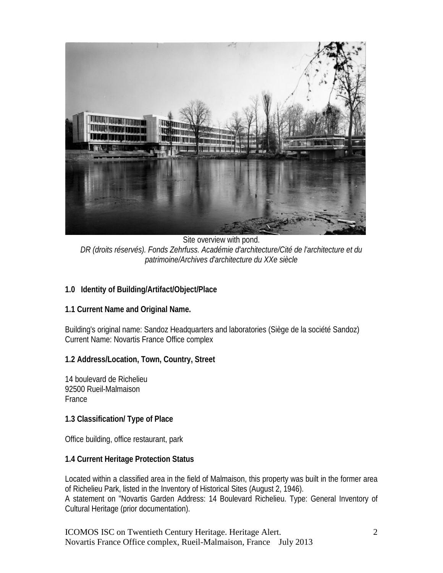

Site overview with pond. *DR (droits réservés). Fonds Zehrfuss. Académie d'architecture/Cité de l'architecture et du patrimoine/Archives d'architecture du XXe siècle*

# **1.0 Identity of Building/Artifact/Object/Place**

# **1.1 Current Name and Original Name.**

Building's original name: Sandoz Headquarters and laboratories (Siège de la société Sandoz) Current Name: Novartis France Office complex

#### **1.2 Address/Location, Town, Country, Street**

14 boulevard de Richelieu 92500 Rueil-Malmaison **France** 

#### **1.3 Classification/ Type of Place**

Office building, office restaurant, park

# **1.4 Current Heritage Protection Status**

Located within a classified area in the field of Malmaison, this property was built in the former area of Richelieu Park, listed in the Inventory of Historical Sites (August 2, 1946). A statement on "Novartis Garden Address: 14 Boulevard Richelieu. Type: General Inventory of Cultural Heritage (prior documentation).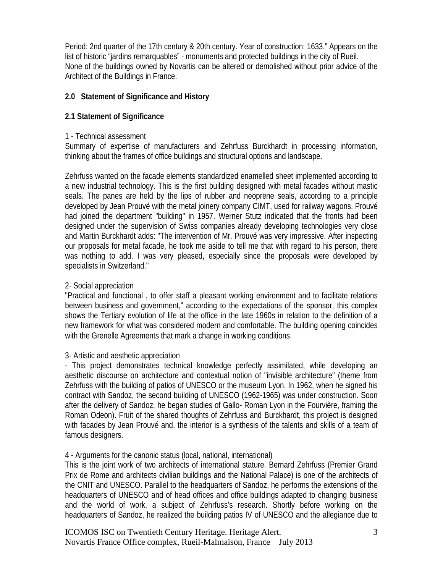Period: 2nd quarter of the 17th century & 20th century. Year of construction: 1633." Appears on the list of historic "jardins remarquables" - monuments and protected buildings in the city of Rueil. None of the buildings owned by Novartis can be altered or demolished without prior advice of the Architect of the Buildings in France.

# **2.0 Statement of Significance and History**

# **2.1 Statement of Significance**

#### 1 - Technical assessment

Summary of expertise of manufacturers and Zehrfuss Burckhardt in processing information, thinking about the frames of office buildings and structural options and landscape.

Zehrfuss wanted on the facade elements standardized enamelled sheet implemented according to a new industrial technology. This is the first building designed with metal facades without mastic seals. The panes are held by the lips of rubber and neoprene seals, according to a principle developed by Jean Prouvé with the metal joinery company CIMT, used for railway wagons. Prouvé had joined the department "building" in 1957. Werner Stutz indicated that the fronts had been designed under the supervision of Swiss companies already developing technologies very close and Martin Burckhardt adds: "The intervention of Mr. Prouvé was very impressive. After inspecting our proposals for metal facade, he took me aside to tell me that with regard to his person, there was nothing to add. I was very pleased, especially since the proposals were developed by specialists in Switzerland."

# 2- Social appreciation

"Practical and functional , to offer staff a pleasant working environment and to facilitate relations between business and government," according to the expectations of the sponsor, this complex shows the Tertiary evolution of life at the office in the late 1960s in relation to the definition of a new framework for what was considered modern and comfortable. The building opening coincides with the Grenelle Agreements that mark a change in working conditions.

# 3- Artistic and aesthetic appreciation

- This project demonstrates technical knowledge perfectly assimilated, while developing an aesthetic discourse on architecture and contextual notion of "invisible architecture" (theme from Zehrfuss with the building of patios of UNESCO or the museum Lyon. In 1962, when he signed his contract with Sandoz, the second building of UNESCO (1962-1965) was under construction. Soon after the delivery of Sandoz, he began studies of Gallo- Roman Lyon in the Fourvière, framing the Roman Odeon). Fruit of the shared thoughts of Zehrfuss and Burckhardt, this project is designed with facades by Jean Prouvé and, the interior is a synthesis of the talents and skills of a team of famous designers.

# 4 - Arguments for the canonic status (local, national, international)

This is the joint work of two architects of international stature. Bernard Zehrfuss (Premier Grand Prix de Rome and architects civilian buildings and the National Palace) is one of the architects of the CNIT and UNESCO. Parallel to the headquarters of Sandoz, he performs the extensions of the headquarters of UNESCO and of head offices and office buildings adapted to changing business and the world of work, a subject of Zehrfuss's research. Shortly before working on the headquarters of Sandoz, he realized the building patios IV of UNESCO and the allegiance due to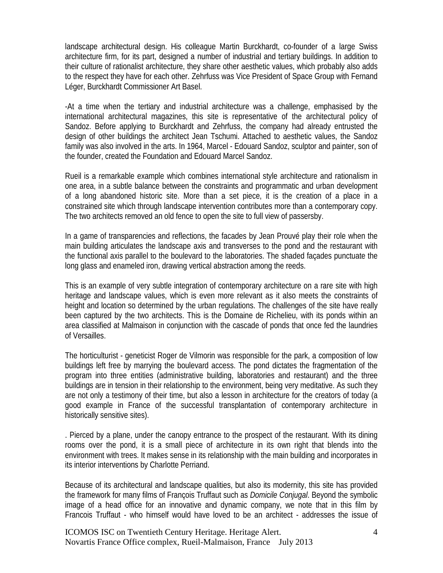landscape architectural design. His colleague Martin Burckhardt, co-founder of a large Swiss architecture firm, for its part, designed a number of industrial and tertiary buildings. In addition to their culture of rationalist architecture, they share other aesthetic values, which probably also adds to the respect they have for each other. Zehrfuss was Vice President of Space Group with Fernand Léger, Burckhardt Commissioner Art Basel.

-At a time when the tertiary and industrial architecture was a challenge, emphasised by the international architectural magazines, this site is representative of the architectural policy of Sandoz. Before applying to Burckhardt and Zehrfuss, the company had already entrusted the design of other buildings the architect Jean Tschumi. Attached to aesthetic values, the Sandoz family was also involved in the arts. In 1964, Marcel - Edouard Sandoz, sculptor and painter, son of the founder, created the Foundation and Edouard Marcel Sandoz.

Rueil is a remarkable example which combines international style architecture and rationalism in one area, in a subtle balance between the constraints and programmatic and urban development of a long abandoned historic site. More than a set piece, it is the creation of a place in a constrained site which through landscape intervention contributes more than a contemporary copy. The two architects removed an old fence to open the site to full view of passersby.

In a game of transparencies and reflections, the facades by Jean Prouvé play their role when the main building articulates the landscape axis and transverses to the pond and the restaurant with the functional axis parallel to the boulevard to the laboratories. The shaded façades punctuate the long glass and enameled iron, drawing vertical abstraction among the reeds.

This is an example of very subtle integration of contemporary architecture on a rare site with high heritage and landscape values, which is even more relevant as it also meets the constraints of height and location so determined by the urban regulations. The challenges of the site have really been captured by the two architects. This is the Domaine de Richelieu, with its ponds within an area classified at Malmaison in conjunction with the cascade of ponds that once fed the laundries of Versailles.

The horticulturist - geneticist Roger de Vilmorin was responsible for the park, a composition of low buildings left free by marrying the boulevard access. The pond dictates the fragmentation of the program into three entities (administrative building, laboratories and restaurant) and the three buildings are in tension in their relationship to the environment, being very meditative. As such they are not only a testimony of their time, but also a lesson in architecture for the creators of today (a good example in France of the successful transplantation of contemporary architecture in historically sensitive sites).

. Pierced by a plane, under the canopy entrance to the prospect of the restaurant. With its dining rooms over the pond, it is a small piece of architecture in its own right that blends into the environment with trees. It makes sense in its relationship with the main building and incorporates in its interior interventions by Charlotte Perriand.

Because of its architectural and landscape qualities, but also its modernity, this site has provided the framework for many films of François Truffaut such as *Domicile Conjugal*. Beyond the symbolic image of a head office for an innovative and dynamic company, we note that in this film by Francois Truffaut - who himself would have loved to be an architect - addresses the issue of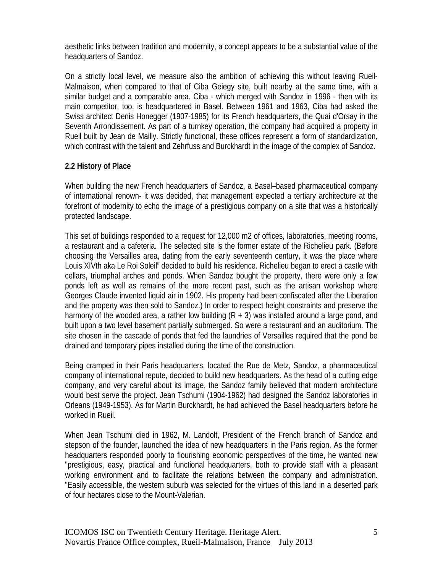aesthetic links between tradition and modernity, a concept appears to be a substantial value of the headquarters of Sandoz.

On a strictly local level, we measure also the ambition of achieving this without leaving Rueil-Malmaison, when compared to that of Ciba Geiegy site, built nearby at the same time, with a similar budget and a comparable area. Ciba - which merged with Sandoz in 1996 - then with its main competitor, too, is headquartered in Basel. Between 1961 and 1963, Ciba had asked the Swiss architect Denis Honegger (1907-1985) for its French headquarters, the Quai d'Orsay in the Seventh Arrondissement. As part of a turnkey operation, the company had acquired a property in Rueil built by Jean de Mailly. Strictly functional, these offices represent a form of standardization, which contrast with the talent and Zehrfuss and Burckhardt in the image of the complex of Sandoz.

# **2.2 History of Place**

When building the new French headquarters of Sandoz, a Basel–based pharmaceutical company of international renown- it was decided, that management expected a tertiary architecture at the forefront of modernity to echo the image of a prestigious company on a site that was a historically protected landscape.

This set of buildings responded to a request for 12,000 m2 of offices, laboratories, meeting rooms, a restaurant and a cafeteria. The selected site is the former estate of the Richelieu park. (Before choosing the Versailles area, dating from the early seventeenth century, it was the place where Louis XIVth aka Le Roi Soleil" decided to build his residence. Richelieu began to erect a castle with cellars, triumphal arches and ponds. When Sandoz bought the property, there were only a few ponds left as well as remains of the more recent past, such as the artisan workshop where Georges Claude invented liquid air in 1902. His property had been confiscated after the Liberation and the property was then sold to Sandoz.) In order to respect height constraints and preserve the harmony of the wooded area, a rather low building  $(R + 3)$  was installed around a large pond, and built upon a two level basement partially submerged. So were a restaurant and an auditorium. The site chosen in the cascade of ponds that fed the laundries of Versailles required that the pond be drained and temporary pipes installed during the time of the construction.

Being cramped in their Paris headquarters, located the Rue de Metz, Sandoz, a pharmaceutical company of international repute, decided to build new headquarters. As the head of a cutting edge company, and very careful about its image, the Sandoz family believed that modern architecture would best serve the project. Jean Tschumi (1904-1962) had designed the Sandoz laboratories in Orleans (1949-1953). As for Martin Burckhardt, he had achieved the Basel headquarters before he worked in Rueil.

When Jean Tschumi died in 1962, M. Landolt, President of the French branch of Sandoz and stepson of the founder, launched the idea of new headquarters in the Paris region. As the former headquarters responded poorly to flourishing economic perspectives of the time, he wanted new "prestigious, easy, practical and functional headquarters, both to provide staff with a pleasant working environment and to facilitate the relations between the company and administration. "Easily accessible, the western suburb was selected for the virtues of this land in a deserted park of four hectares close to the Mount-Valerian.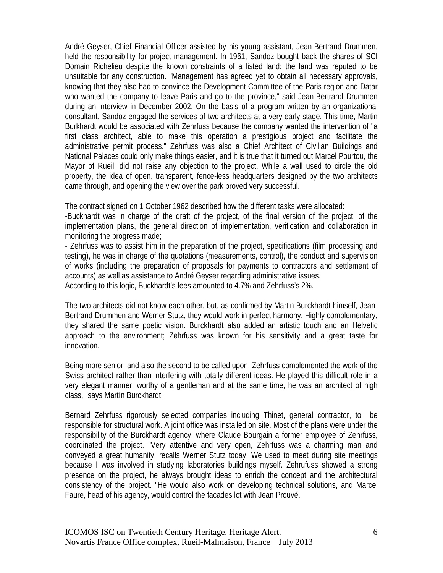André Geyser, Chief Financial Officer assisted by his young assistant, Jean-Bertrand Drummen, held the responsibility for project management. In 1961, Sandoz bought back the shares of SCI Domain Richelieu despite the known constraints of a listed land: the land was reputed to be unsuitable for any construction. "Management has agreed yet to obtain all necessary approvals, knowing that they also had to convince the Development Committee of the Paris region and Datar who wanted the company to leave Paris and go to the province," said Jean-Bertrand Drummen during an interview in December 2002. On the basis of a program written by an organizational consultant, Sandoz engaged the services of two architects at a very early stage. This time, Martin Burkhardt would be associated with Zehrfuss because the company wanted the intervention of "a first class architect, able to make this operation a prestigious project and facilitate the administrative permit process." Zehrfuss was also a Chief Architect of Civilian Buildings and National Palaces could only make things easier, and it is true that it turned out Marcel Pourtou, the Mayor of Rueil, did not raise any objection to the project. While a wall used to circle the old property, the idea of open, transparent, fence-less headquarters designed by the two architects came through, and opening the view over the park proved very successful.

The contract signed on 1 October 1962 described how the different tasks were allocated:

-Buckhardt was in charge of the draft of the project, of the final version of the project, of the implementation plans, the general direction of implementation, verification and collaboration in monitoring the progress made;

- Zehrfuss was to assist him in the preparation of the project, specifications (film processing and testing), he was in charge of the quotations (measurements, control), the conduct and supervision of works (including the preparation of proposals for payments to contractors and settlement of accounts) as well as assistance to André Geyser regarding administrative issues. According to this logic, Buckhardt's fees amounted to 4.7% and Zehrfuss's 2%.

The two architects did not know each other, but, as confirmed by Martin Burckhardt himself, Jean-Bertrand Drummen and Werner Stutz, they would work in perfect harmony. Highly complementary, they shared the same poetic vision. Burckhardt also added an artistic touch and an Helvetic approach to the environment; Zehrfuss was known for his sensitivity and a great taste for innovation.

Being more senior, and also the second to be called upon, Zehrfuss complemented the work of the Swiss architect rather than interfering with totally different ideas. He played this difficult role in a very elegant manner, worthy of a gentleman and at the same time, he was an architect of high class, "says Martín Burckhardt.

Bernard Zehrfuss rigorously selected companies including Thinet, general contractor, to be responsible for structural work. A joint office was installed on site. Most of the plans were under the responsibility of the Burckhardt agency, where Claude Bourgain a former employee of Zehrfuss, coordinated the project. "Very attentive and very open, Zehrfuss was a charming man and conveyed a great humanity, recalls Werner Stutz today. We used to meet during site meetings because I was involved in studying laboratories buildings myself. Zehrufuss showed a strong presence on the project, he always brought ideas to enrich the concept and the architectural consistency of the project. "He would also work on developing technical solutions, and Marcel Faure, head of his agency, would control the facades lot with Jean Prouvé.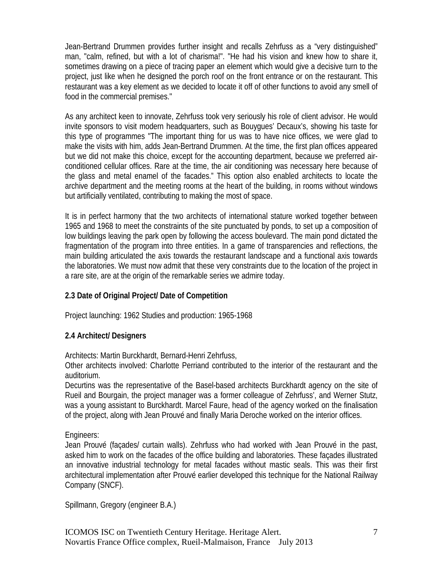Jean-Bertrand Drummen provides further insight and recalls Zehrfuss as a "very distinguished" man, "calm, refined, but with a lot of charisma!". "He had his vision and knew how to share it, sometimes drawing on a piece of tracing paper an element which would give a decisive turn to the project, just like when he designed the porch roof on the front entrance or on the restaurant. This restaurant was a key element as we decided to locate it off of other functions to avoid any smell of food in the commercial premises."

As any architect keen to innovate, Zehrfuss took very seriously his role of client advisor. He would invite sponsors to visit modern headquarters, such as Bouygues' Decaux's, showing his taste for this type of programmes "The important thing for us was to have nice offices, we were glad to make the visits with him, adds Jean-Bertrand Drummen. At the time, the first plan offices appeared but we did not make this choice, except for the accounting department, because we preferred airconditioned cellular offices. Rare at the time, the air conditioning was necessary here because of the glass and metal enamel of the facades." This option also enabled architects to locate the archive department and the meeting rooms at the heart of the building, in rooms without windows but artificially ventilated, contributing to making the most of space.

It is in perfect harmony that the two architects of international stature worked together between 1965 and 1968 to meet the constraints of the site punctuated by ponds, to set up a composition of low buildings leaving the park open by following the access boulevard. The main pond dictated the fragmentation of the program into three entities. In a game of transparencies and reflections, the main building articulated the axis towards the restaurant landscape and a functional axis towards the laboratories. We must now admit that these very constraints due to the location of the project in a rare site, are at the origin of the remarkable series we admire today.

# **2.3 Date of Original Project/ Date of Competition**

Project launching: 1962 Studies and production: 1965-1968

# **2.4 Architect/ Designers**

Architects: Martin Burckhardt, Bernard-Henri Zehrfuss,

Other architects involved: Charlotte Perriand contributed to the interior of the restaurant and the auditorium.

Decurtins was the representative of the Basel-based architects Burckhardt agency on the site of Rueil and Bourgain, the project manager was a former colleague of Zehrfuss', and Werner Stutz, was a young assistant to Burckhardt. Marcel Faure, head of the agency worked on the finalisation of the project, along with Jean Prouvé and finally Maria Deroche worked on the interior offices.

Engineers:

Jean Prouvé (façades/ curtain walls). Zehrfuss who had worked with Jean Prouvé in the past, asked him to work on the facades of the office building and laboratories. These façades illustrated an innovative industrial technology for metal facades without mastic seals. This was their first architectural implementation after Prouvé earlier developed this technique for the National Railway Company (SNCF).

Spillmann, Gregory (engineer B.A.)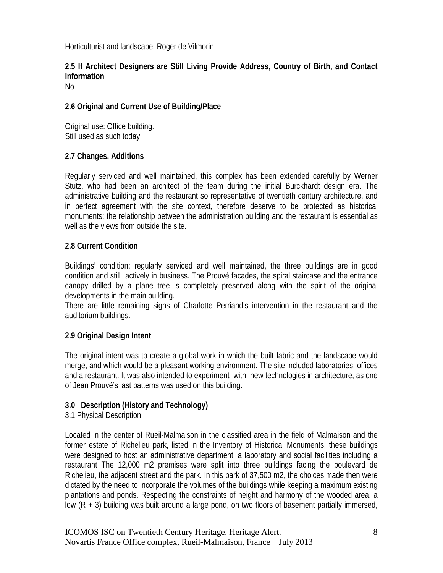Horticulturist and landscape: Roger de Vilmorin

# **2.5 If Architect Designers are Still Living Provide Address, Country of Birth, and Contact Information**

No

# **2.6 Original and Current Use of Building/Place**

Original use: Office building. Still used as such today.

# **2.7 Changes, Additions**

Regularly serviced and well maintained, this complex has been extended carefully by Werner Stutz, who had been an architect of the team during the initial Burckhardt design era. The administrative building and the restaurant so representative of twentieth century architecture, and in perfect agreement with the site context, therefore deserve to be protected as historical monuments: the relationship between the administration building and the restaurant is essential as well as the views from outside the site.

# **2.8 Current Condition**

Buildings' condition: regularly serviced and well maintained, the three buildings are in good condition and still actively in business. The Prouvé facades, the spiral staircase and the entrance canopy drilled by a plane tree is completely preserved along with the spirit of the original developments in the main building.

There are little remaining signs of Charlotte Perriand's intervention in the restaurant and the auditorium buildings.

# **2.9 Original Design Intent**

The original intent was to create a global work in which the built fabric and the landscape would merge, and which would be a pleasant working environment. The site included laboratories, offices and a restaurant. It was also intended to experiment with new technologies in architecture, as one of Jean Prouvé's last patterns was used on this building.

# **3.0 Description (History and Technology)**

# 3.1 Physical Description

Located in the center of Rueil-Malmaison in the classified area in the field of Malmaison and the former estate of Richelieu park, listed in the Inventory of Historical Monuments, these buildings were designed to host an administrative department, a laboratory and social facilities including a restaurant The 12,000 m2 premises were split into three buildings facing the boulevard de Richelieu, the adjacent street and the park. In this park of 37,500 m2, the choices made then were dictated by the need to incorporate the volumes of the buildings while keeping a maximum existing plantations and ponds. Respecting the constraints of height and harmony of the wooded area, a low (R + 3) building was built around a large pond, on two floors of basement partially immersed,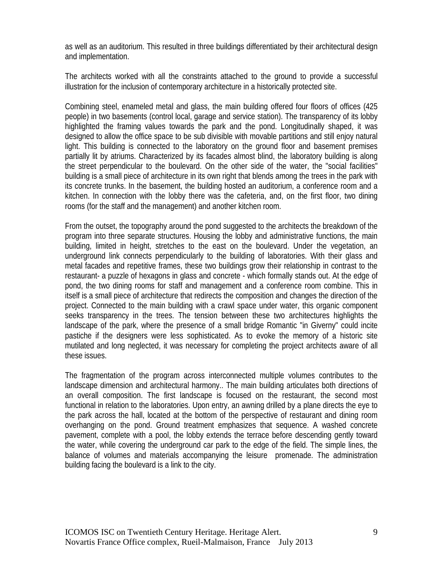as well as an auditorium. This resulted in three buildings differentiated by their architectural design and implementation.

The architects worked with all the constraints attached to the ground to provide a successful illustration for the inclusion of contemporary architecture in a historically protected site.

Combining steel, enameled metal and glass, the main building offered four floors of offices (425 people) in two basements (control local, garage and service station). The transparency of its lobby highlighted the framing values towards the park and the pond. Longitudinally shaped, it was designed to allow the office space to be sub divisible with movable partitions and still enjoy natural light. This building is connected to the laboratory on the ground floor and basement premises partially lit by atriums. Characterized by its facades almost blind, the laboratory building is along the street perpendicular to the boulevard. On the other side of the water, the "social facilities" building is a small piece of architecture in its own right that blends among the trees in the park with its concrete trunks. In the basement, the building hosted an auditorium, a conference room and a kitchen. In connection with the lobby there was the cafeteria, and, on the first floor, two dining rooms (for the staff and the management) and another kitchen room.

From the outset, the topography around the pond suggested to the architects the breakdown of the program into three separate structures. Housing the lobby and administrative functions, the main building, limited in height, stretches to the east on the boulevard. Under the vegetation, an underground link connects perpendicularly to the building of laboratories. With their glass and metal facades and repetitive frames, these two buildings grow their relationship in contrast to the restaurant- a puzzle of hexagons in glass and concrete - which formally stands out. At the edge of pond, the two dining rooms for staff and management and a conference room combine. This in itself is a small piece of architecture that redirects the composition and changes the direction of the project. Connected to the main building with a crawl space under water, this organic component seeks transparency in the trees. The tension between these two architectures highlights the landscape of the park, where the presence of a small bridge Romantic "in Giverny" could incite pastiche if the designers were less sophisticated. As to evoke the memory of a historic site mutilated and long neglected, it was necessary for completing the project architects aware of all these issues.

The fragmentation of the program across interconnected multiple volumes contributes to the landscape dimension and architectural harmony.. The main building articulates both directions of an overall composition. The first landscape is focused on the restaurant, the second most functional in relation to the laboratories. Upon entry, an awning drilled by a plane directs the eye to the park across the hall, located at the bottom of the perspective of restaurant and dining room overhanging on the pond. Ground treatment emphasizes that sequence. A washed concrete pavement, complete with a pool, the lobby extends the terrace before descending gently toward the water, while covering the underground car park to the edge of the field. The simple lines, the balance of volumes and materials accompanying the leisure promenade. The administration building facing the boulevard is a link to the city.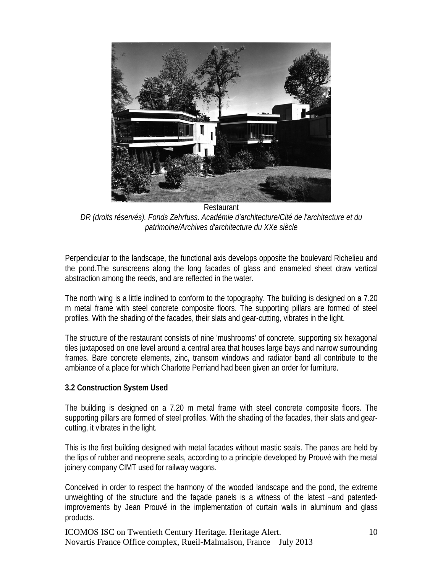

Restaurant *DR (droits réservés). Fonds Zehrfuss. Académie d'architecture/Cité de l'architecture et du patrimoine/Archives d'architecture du XXe siècle*

Perpendicular to the landscape, the functional axis develops opposite the boulevard Richelieu and the pond.The sunscreens along the long facades of glass and enameled sheet draw vertical abstraction among the reeds, and are reflected in the water.

The north wing is a little inclined to conform to the topography. The building is designed on a 7.20 m metal frame with steel concrete composite floors. The supporting pillars are formed of steel profiles. With the shading of the facades, their slats and gear-cutting, vibrates in the light.

The structure of the restaurant consists of nine 'mushrooms' of concrete, supporting six hexagonal tiles juxtaposed on one level around a central area that houses large bays and narrow surrounding frames. Bare concrete elements, zinc, transom windows and radiator band all contribute to the ambiance of a place for which Charlotte Perriand had been given an order for furniture.

# **3.2 Construction System Used**

The building is designed on a 7.20 m metal frame with steel concrete composite floors. The supporting pillars are formed of steel profiles. With the shading of the facades, their slats and gearcutting, it vibrates in the light.

This is the first building designed with metal facades without mastic seals. The panes are held by the lips of rubber and neoprene seals, according to a principle developed by Prouvé with the metal joinery company CIMT used for railway wagons.

Conceived in order to respect the harmony of the wooded landscape and the pond, the extreme unweighting of the structure and the façade panels is a witness of the latest –and patentedimprovements by Jean Prouvé in the implementation of curtain walls in aluminum and glass products.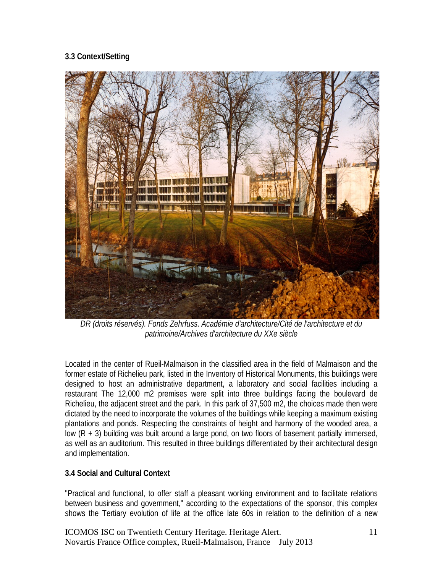# **3.3 Context/Setting**



*DR (droits réservés). Fonds Zehrfuss. Académie d'architecture/Cité de l'architecture et du patrimoine/Archives d'architecture du XXe siècle*

Located in the center of Rueil-Malmaison in the classified area in the field of Malmaison and the former estate of Richelieu park, listed in the Inventory of Historical Monuments, this buildings were designed to host an administrative department, a laboratory and social facilities including a restaurant The 12,000 m2 premises were split into three buildings facing the boulevard de Richelieu, the adjacent street and the park. In this park of 37,500 m2, the choices made then were dictated by the need to incorporate the volumes of the buildings while keeping a maximum existing plantations and ponds. Respecting the constraints of height and harmony of the wooded area, a low  $(R + 3)$  building was built around a large pond, on two floors of basement partially immersed, as well as an auditorium. This resulted in three buildings differentiated by their architectural design and implementation.

# **3.4 Social and Cultural Context**

"Practical and functional, to offer staff a pleasant working environment and to facilitate relations between business and government," according to the expectations of the sponsor, this complex shows the Tertiary evolution of life at the office late 60s in relation to the definition of a new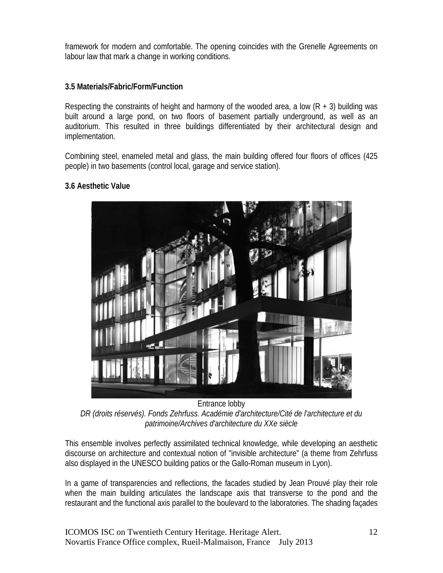framework for modern and comfortable. The opening coincides with the Grenelle Agreements on labour law that mark a change in working conditions.

# **3.5 Materials/Fabric/Form/Function**

Respecting the constraints of height and harmony of the wooded area, a low  $(R + 3)$  building was built around a large pond, on two floors of basement partially underground, as well as an auditorium. This resulted in three buildings differentiated by their architectural design and implementation.

Combining steel, enameled metal and glass, the main building offered four floors of offices (425 people) in two basements (control local, garage and service station).

# **3.6 Aesthetic Value**



Entrance lobby *DR (droits réservés). Fonds Zehrfuss. Académie d'architecture/Cité de l'architecture et du patrimoine/Archives d'architecture du XXe siècle*

This ensemble involves perfectly assimilated technical knowledge, while developing an aesthetic discourse on architecture and contextual notion of "invisible architecture" (a theme from Zehrfuss also displayed in the UNESCO building patios or the Gallo-Roman museum in Lyon).

In a game of transparencies and reflections, the facades studied by Jean Prouvé play their role when the main building articulates the landscape axis that transverse to the pond and the restaurant and the functional axis parallel to the boulevard to the laboratories. The shading façades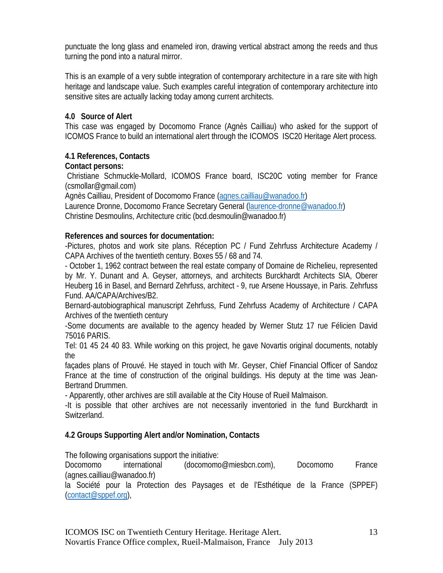punctuate the long glass and enameled iron, drawing vertical abstract among the reeds and thus turning the pond into a natural mirror.

This is an example of a very subtle integration of contemporary architecture in a rare site with high heritage and landscape value. Such examples careful integration of contemporary architecture into sensitive sites are actually lacking today among current architects.

# **4.0 Source of Alert**

This case was engaged by Docomomo France (Agnès Cailliau) who asked for the support of ICOMOS France to build an international alert through the ICOMOS ISC20 Heritage Alert process.

# **4.1 References, Contacts**

# **Contact persons:**

Christiane Schmuckle-Mollard, ICOMOS France board, ISC20C voting member for France (csmollar@gmail.com)

Agnès Cailliau, President of Docomomo France [\(agnes.cailliau@wanadoo.fr\)](mailto:agnes.cailliau@wanadoo.fr) Laurence Dronne, Docomomo France Secretary General [\(laurence-dronne@wanadoo.fr\)](mailto:laurence-dronne@wanadoo.fr)

Christine Desmoulins, Architecture critic (bcd.desmoulin@wanadoo.fr)

# **References and sources for documentation:**

-Pictures, photos and work site plans. Réception PC / Fund Zehrfuss Architecture Academy / CAPA Archives of the twentieth century. Boxes 55 / 68 and 74.

- October 1, 1962 contract between the real estate company of Domaine de Richelieu, represented by Mr. Y. Dunant and A. Geyser, attorneys, and architects Burckhardt Architects SIA, Oberer Heuberg 16 in Basel, and Bernard Zehrfuss, architect - 9, rue Arsene Houssaye, in Paris. Zehrfuss Fund. AA/CAPA/Archives/B2.

Bernard-autobiographical manuscript Zehrfuss, Fund Zehrfuss Academy of Architecture / CAPA Archives of the twentieth century

-Some documents are available to the agency headed by Werner Stutz 17 rue Félicien David 75016 PARIS.

Tel: 01 45 24 40 83. While working on this project, he gave Novartis original documents, notably the

façades plans of Prouvé. He stayed in touch with Mr. Geyser, Chief Financial Officer of Sandoz France at the time of construction of the original buildings. His deputy at the time was Jean-Bertrand Drummen.

- Apparently, other archives are still available at the City House of Rueil Malmaison.

-It is possible that other archives are not necessarily inventoried in the fund Burckhardt in Switzerland.

# **4.2 Groups Supporting Alert and/or Nomination, Contacts**

The following organisations support the initiative:

Docomomo international (docomomo@miesbcn.com), Docomomo France (agnes.cailliau@wanadoo.fr)

la Société pour la Protection des Paysages et de l'Esthétique de la France (SPPEF) [\(contact@sppef.org\)](mailto:contact@sppef.org),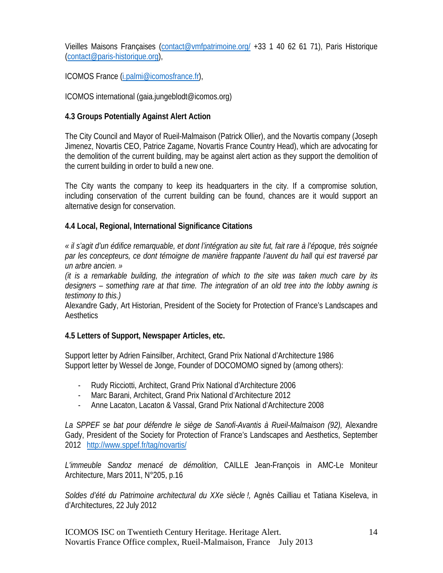Vieilles Maisons Françaises [\(contact@vmfpatrimoine.org/](mailto:contact@vmfpatrimoine.org/) +33 1 40 62 61 71), Paris Historique [\(contact@paris-historique.org\)](mailto:contact@paris-historique.org),

ICOMOS France [\(i.palmi@icomosfrance.fr\)](mailto:i.palmi@icomosfrance.fr),

ICOMOS international (gaia.jungeblodt@icomos.org)

# **4.3 Groups Potentially Against Alert Action**

The City Council and Mayor of Rueil-Malmaison (Patrick Ollier), and the Novartis company (Joseph Jimenez, Novartis CEO, Patrice Zagame, Novartis France Country Head), which are advocating for the demolition of the current building, may be against alert action as they support the demolition of the current building in order to build a new one.

The City wants the company to keep its headquarters in the city. If a compromise solution, including conservation of the current building can be found, chances are it would support an alternative design for conservation.

# **4.4 Local, Regional, International Significance Citations**

*« il s'agit d'un édifice remarquable, et dont l'intégration au site fut, fait rare à l'époque, très soignée par les concepteurs, ce dont témoigne de manière frappante l'auvent du hall qui est traversé par un arbre ancien. »*

*(it is a remarkable building, the integration of which to the site was taken much care by its designers – something rare at that time. The integration of an old tree into the lobby awning is testimony to this.)*

Alexandre Gady, Art Historian, President of the Society for Protection of France's Landscapes and **Aesthetics** 

# **4.5 Letters of Support, Newspaper Articles, etc.**

Support letter by Adrien Fainsilber, Architect, Grand Prix National d'Architecture 1986 Support letter by Wessel de Jonge, Founder of DOCOMOMO signed by (among others):

- Rudy Ricciotti, Architect, Grand Prix National d'Architecture 2006
- Marc Barani, Architect, Grand Prix National d'Architecture 2012
- Anne Lacaton, Lacaton & Vassal, Grand Prix National d'Architecture 2008

La SPPEF se bat pour défendre le siège de Sanofi-Avantis à Rueil-Malmaison (92), Alexandre Gady, President of the Society for Protection of France's Landscapes and Aesthetics, September 2012 <http://www.sppef.fr/tag/novartis/>

*L'immeuble Sandoz menacé de démolition*, [CAILLE Jean-François](http://alexandrie.pavillon-arsenal.com/ListDocument.php?line_0%5bvalue%5d=584306&line_0%5bfield%5d=auteur&typerec=Index) in [AMC-Le Moniteur](http://alexandrie.pavillon-arsenal.com/ListDocument.php?line_0%5bvalue%5d=763319&line_0%5bfield%5d=reference&typerec=Index)  [Architecture,](http://alexandrie.pavillon-arsenal.com/ListDocument.php?line_0%5bvalue%5d=763319&line_0%5bfield%5d=reference&typerec=Index) Mars 2011, N°205, p.16

*Soldes d'été du Patrimoine architectural du XXe siècle !,* Agnès Cailliau et Tatiana Kiseleva, in d'Architectures, 22 July 2012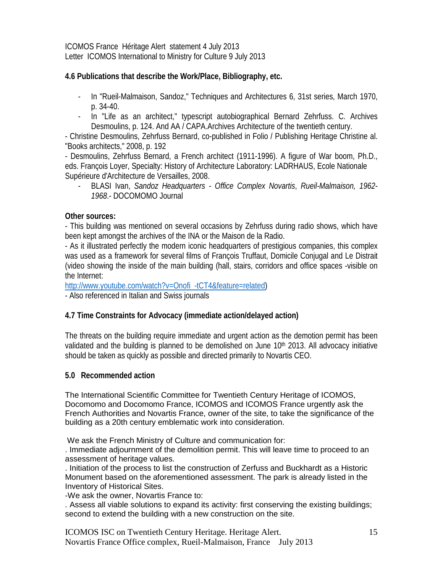ICOMOS France Héritage Alert statement 4 July 2013 Letter ICOMOS International to Ministry for Culture 9 July 2013

# **4.6 Publications that describe the Work/Place, Bibliography, etc.**

- In "Rueil-Malmaison, Sandoz," Techniques and Architectures 6, 31st series, March 1970, p. 34-40.
- In "Life as an architect," typescript autobiographical Bernard Zehrfuss. C. Archives Desmoulins, p. 124. And AA / CAPA.Archives Architecture of the twentieth century.

- Christine Desmoulins, Zehrfuss Bernard, co-published in Folio / Publishing Heritage Christine al. "Books architects," 2008, p. 192

- Desmoulins, Zehrfuss Bernard, a French architect (1911-1996). A figure of War boom, Ph.D., eds. François Loyer, Specialty: History of Architecture Laboratory: LADRHAUS, Ecole Nationale Supérieure d'Architecture de Versailles, 2008.

- BLASI Ivan, *Sandoz Headquarters - Office Complex Novartis*, *Rueil-Malmaison, 1962- 1968*.- DOCOMOMO Journal

#### **Other sources:**

- This building was mentioned on several occasions by Zehrfuss during radio shows, which have been kept amongst the archives of the INA or the Maison de la Radio.

- As it illustrated perfectly the modern iconic headquarters of prestigious companies, this complex was used as a framework for several films of François Truffaut, Domicile Conjugal and Le Distrait (video showing the inside of the main building (hall, stairs, corridors and office spaces -visible on the Internet:

[http://www.youtube.com/watch?v=Onofi\\_-tCT4&feature=related\)](http://www.youtube.com/watch?v=Onofi_-tCT4&feature=related)

- Also referenced in Italian and Swiss journals

# **4.7 Time Constraints for Advocacy (immediate action/delayed action)**

The threats on the building require immediate and urgent action as the demotion permit has been validated and the building is planned to be demolished on June  $10<sup>th</sup>$  2013. All advocacy initiative should be taken as quickly as possible and directed primarily to Novartis CEO.

# **5.0 Recommended action**

The International Scientific Committee for Twentieth Century Heritage of ICOMOS, Docomomo and Docomomo France, ICOMOS and ICOMOS France urgently ask the French Authorities and Novartis France, owner of the site, to take the significance of the building as a 20th century emblematic work into consideration.

We ask the French Ministry of Culture and communication for:

. Immediate adjournment of the demolition permit. This will leave time to proceed to an assessment of heritage values.

. Initiation of the process to list the construction of Zerfuss and Buckhardt as a Historic Monument based on the aforementioned assessment. The park is already listed in the Inventory of Historical Sites.

-We ask the owner, Novartis France to:

. Assess all viable solutions to expand its activity: first conserving the existing buildings; second to extend the building with a new construction on the site.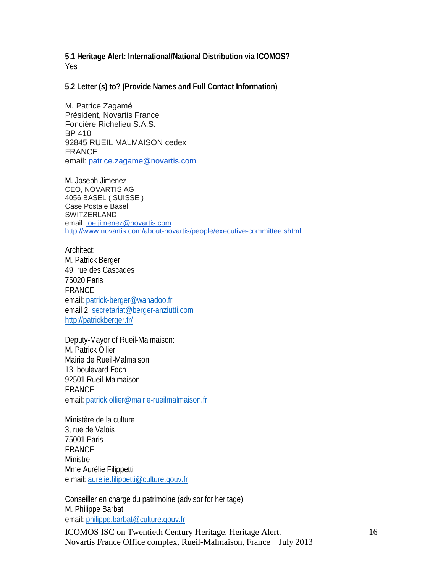**5.1 Heritage Alert: International/National Distribution via ICOMOS?** Yes

**5.2 Letter (s) to? (Provide Names and Full Contact Information**)

M. Patrice Zagamé Président, Novartis France Foncière Richelieu S.A.S. BP 410 92845 RUEIL MALMAISON cedex **FRANCE** email: [patrice.zagame@novartis.com](mailto:patrice.zagame@novartis.com)

M. Joseph Jimenez CEO, NOVARTIS AG 4056 BASEL ( SUISSE ) Case Postale Basel **SWITZERLAND** email: [joe.jimenez@novartis.com](mailto:joe.jimenez@novartis.com) <http://www.novartis.com/about-novartis/people/executive-committee.shtml>

Architect: M. Patrick Berger 49, rue des Cascades 75020 Paris FRANCE email: [patrick-berger@wanadoo.fr](mailto:patrick-berger@wanadoo.fr) email 2: [secretariat@berger-anziutti.com](mailto:secretariat@berger-anziutti.com) <http://patrickberger.fr/>

Deputy-Mayor of Rueil-Malmaison: M. Patrick Ollier Mairie de Rueil-Malmaison 13, boulevard Foch 92501 Rueil-Malmaison FRANCE email: [patrick.ollier@mairie-rueilmalmaison.fr](mailto:patrick.ollier@mairie-rueilmalmaison.fr)

Ministère de la culture 3, rue de Valois 75001 Paris FRANCE Ministre: Mme Aurélie Filippetti e mail[: aurelie.filippetti@culture.gouv.fr](mailto:aurelie.filippetti@culture.gouv.fr)

Conseiller en charge du patrimoine (advisor for heritage) M. Philippe Barbat email: [philippe.barbat@culture.gouv.fr](mailto:philippe.barbat@culture.gouv.fr)